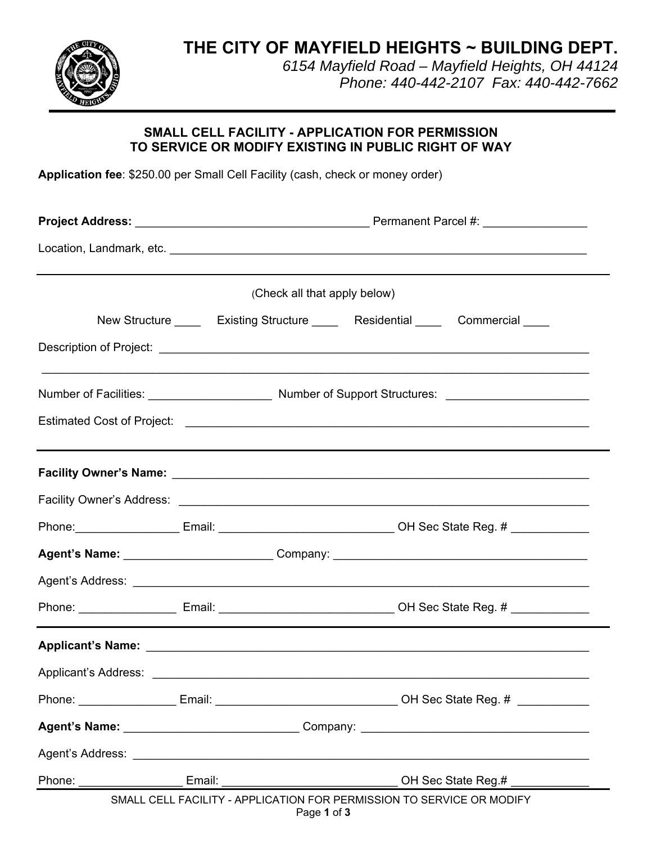**THE CITY OF MAYFIELD HEIGHTS ~ BUILDING DEPT.**



*6154 Mayfield Road – Mayfield Heights, OH 44124 Phone: 440-442-2107 Fax: 440-442-7662*

# **SMALL CELL FACILITY - APPLICATION FOR PERMISSION TO SERVICE OR MODIFY EXISTING IN PUBLIC RIGHT OF WAY**

**Application fee**: \$250.00 per Small Cell Facility (cash, check or money order)

| (Check all that apply below)<br>New Structure ______ Existing Structure ______ Residential ______ Commercial ____ |  |
|-------------------------------------------------------------------------------------------------------------------|--|
|                                                                                                                   |  |
|                                                                                                                   |  |
|                                                                                                                   |  |
|                                                                                                                   |  |
|                                                                                                                   |  |
|                                                                                                                   |  |
|                                                                                                                   |  |
|                                                                                                                   |  |
| Phone: _______________________Email: ___________________________________OH Sec State Reg. # ______________        |  |
|                                                                                                                   |  |
|                                                                                                                   |  |
|                                                                                                                   |  |
|                                                                                                                   |  |
|                                                                                                                   |  |
| Phone: Email: Email: Email: CH Sec State Reg. #                                                                   |  |
|                                                                                                                   |  |
|                                                                                                                   |  |
| Phone:<br>Email:<br>OH Sec State Reg.#                                                                            |  |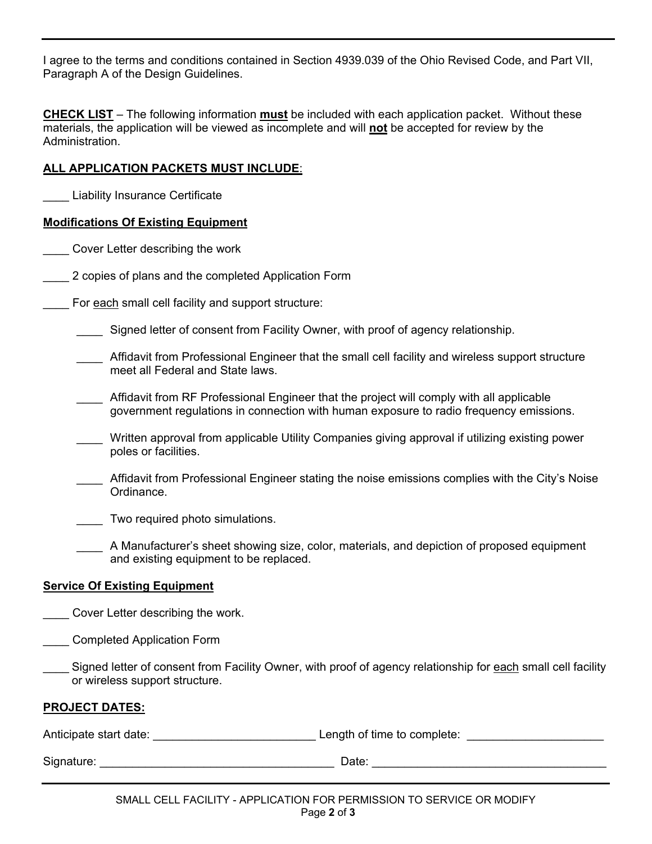I agree to the terms and conditions contained in Section 4939.039 of the Ohio Revised Code, and Part VII, Paragraph A of the Design Guidelines.

**CHECK LIST** – The following information **must** be included with each application packet. Without these materials, the application will be viewed as incomplete and will **not** be accepted for review by the Administration.

### **ALL APPLICATION PACKETS MUST INCLUDE**:

Liability Insurance Certificate

### **Modifications Of Existing Equipment**

\_\_\_\_ Cover Letter describing the work

2 copies of plans and the completed Application Form

For each small cell facility and support structure:

Signed letter of consent from Facility Owner, with proof of agency relationship.

- \_\_\_\_ Affidavit from Professional Engineer that the small cell facility and wireless support structure meet all Federal and State laws.
- Affidavit from RF Professional Engineer that the project will comply with all applicable government regulations in connection with human exposure to radio frequency emissions.
- Written approval from applicable Utility Companies giving approval if utilizing existing power poles or facilities.
- \_\_\_\_ Affidavit from Professional Engineer stating the noise emissions complies with the City's Noise Ordinance.

Two required photo simulations.

 \_\_\_\_ A Manufacturer's sheet showing size, color, materials, and depiction of proposed equipment and existing equipment to be replaced.

## **Service Of Existing Equipment**

\_\_\_\_ Cover Letter describing the work.

- \_\_\_\_ Completed Application Form
- Signed letter of consent from Facility Owner, with proof of agency relationship for each small cell facility or wireless support structure.

### **PROJECT DATES:**

| Anticipate start date: | Length of time to complete: |
|------------------------|-----------------------------|
| Signature:             | Date:                       |